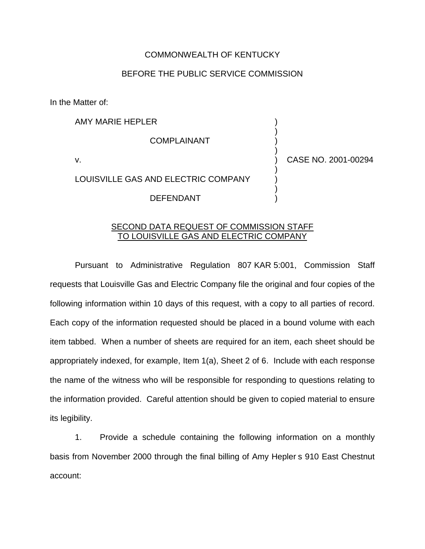## COMMONWEALTH OF KENTUCKY

## BEFORE THE PUBLIC SERVICE COMMISSION

In the Matter of:

AMY MARIE HEPLER )

**COMPLAINANT** 

v. ) CASE NO. 2001-00294

)

)

)

)

LOUISVILLE GAS AND ELECTRIC COMPANY

DEFENDANT )

## SECOND DATA REQUEST OF COMMISSION STAFF TO LOUISVILLE GAS AND ELECTRIC COMPANY

Pursuant to Administrative Regulation 807 KAR 5:001, Commission Staff requests that Louisville Gas and Electric Company file the original and four copies of the following information within 10 days of this request, with a copy to all parties of record. Each copy of the information requested should be placed in a bound volume with each item tabbed. When a number of sheets are required for an item, each sheet should be appropriately indexed, for example, Item 1(a), Sheet 2 of 6. Include with each response the name of the witness who will be responsible for responding to questions relating to the information provided. Careful attention should be given to copied material to ensure its legibility.

1. Provide a schedule containing the following information on a monthly basis from November 2000 through the final billing of Amy Hepler s 910 East Chestnut account: